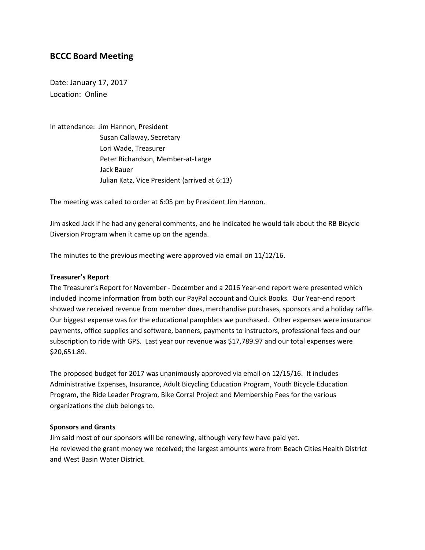# **BCCC Board Meeting**

Date: January 17, 2017 Location: Online

In attendance: Jim Hannon, President Susan Callaway, Secretary Lori Wade, Treasurer Peter Richardson, Member-at-Large Jack Bauer Julian Katz, Vice President (arrived at 6:13)

The meeting was called to order at 6:05 pm by President Jim Hannon.

Jim asked Jack if he had any general comments, and he indicated he would talk about the RB Bicycle Diversion Program when it came up on the agenda.

The minutes to the previous meeting were approved via email on 11/12/16.

#### **Treasurer's Report**

The Treasurer's Report for November - December and a 2016 Year-end report were presented which included income information from both our PayPal account and Quick Books. Our Year-end report showed we received revenue from member dues, merchandise purchases, sponsors and a holiday raffle. Our biggest expense was for the educational pamphlets we purchased. Other expenses were insurance payments, office supplies and software, banners, payments to instructors, professional fees and our subscription to ride with GPS. Last year our revenue was \$17,789.97 and our total expenses were \$20,651.89.

The proposed budget for 2017 was unanimously approved via email on 12/15/16. It includes Administrative Expenses, Insurance, Adult Bicycling Education Program, Youth Bicycle Education Program, the Ride Leader Program, Bike Corral Project and Membership Fees for the various organizations the club belongs to.

#### **Sponsors and Grants**

Jim said most of our sponsors will be renewing, although very few have paid yet. He reviewed the grant money we received; the largest amounts were from Beach Cities Health District and West Basin Water District.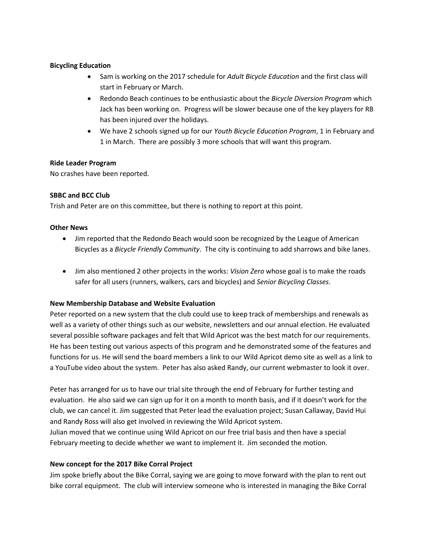# **Bicycling Education**

- Sam is working on the 2017 schedule for *Adult Bicycle Education* and the first class will start in February or March.
- Redondo Beach continues to be enthusiastic about the *Bicycle Diversion Program* which Jack has been working on. Progress will be slower because one of the key players for RB has been injured over the holidays.
- We have 2 schools signed up for our *Youth Bicycle Education Program*, 1 in February and 1 in March. There are possibly 3 more schools that will want this program.

## **Ride Leader Program**

No crashes have been reported.

# **SBBC and BCC Club**

Trish and Peter are on this committee, but there is nothing to report at this point.

## **Other News**

- Jim reported that the Redondo Beach would soon be recognized by the League of American Bicycles as a *Bicycle Friendly Community*. The city is continuing to add sharrows and bike lanes.
- Jim also mentioned 2 other projects in the works: *Vision Zero* whose goal is to make the roads safer for all users (runners, walkers, cars and bicycles) and *Senior Bicycling Classes*.

## **New Membership Database and Website Evaluation**

Peter reported on a new system that the club could use to keep track of memberships and renewals as well as a variety of other things such as our website, newsletters and our annual election. He evaluated several possible software packages and felt that Wild Apricot was the best match for our requirements. He has been testing out various aspects of this program and he demonstrated some of the features and functions for us. He will send the board members a link to our Wild Apricot demo site as well as a link to a YouTube video about the system. Peter has also asked Randy, our current webmaster to look it over.

Peter has arranged for us to have our trial site through the end of February for further testing and evaluation. He also said we can sign up for it on a month to month basis, and if it doesn't work for the club, we can cancel it. Jim suggested that Peter lead the evaluation project; Susan Callaway, David Hui and Randy Ross will also get involved in reviewing the Wild Apricot system.

Julian moved that we continue using Wild Apricot on our free trial basis and then have a special February meeting to decide whether we want to implement it. Jim seconded the motion.

# **New concept for the 2017 Bike Corral Project**

Jim spoke briefly about the Bike Corral, saying we are going to move forward with the plan to rent out bike corral equipment. The club will interview someone who is interested in managing the Bike Corral